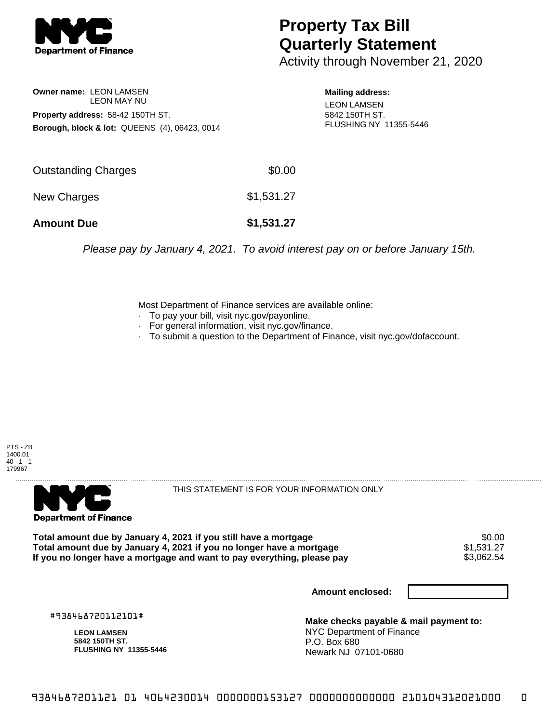

## **Property Tax Bill Quarterly Statement**

Activity through November 21, 2020

**Owner name:** LEON LAMSEN LEON MAY NU **Property address:** 58-42 150TH ST. **Borough, block & lot:** QUEENS (4), 06423, 0014 **Mailing address:** LEON LAMSEN 5842 150TH ST. FLUSHING NY 11355-5446

| <b>Amount Due</b>          | \$1,531.27 |
|----------------------------|------------|
| New Charges                | \$1,531.27 |
| <b>Outstanding Charges</b> | \$0.00     |

Please pay by January 4, 2021. To avoid interest pay on or before January 15th.

Most Department of Finance services are available online:

- · To pay your bill, visit nyc.gov/payonline.
- For general information, visit nyc.gov/finance.
- · To submit a question to the Department of Finance, visit nyc.gov/dofaccount.





THIS STATEMENT IS FOR YOUR INFORMATION ONLY

Total amount due by January 4, 2021 if you still have a mortgage \$0.00<br>Total amount due by January 4, 2021 if you no longer have a mortgage \$1.531.27 **Total amount due by January 4, 2021 if you no longer have a mortgage**  $$1,531.27$$ **<br>If you no longer have a mortgage and want to pay everything, please pay**  $$3,062.54$$ If you no longer have a mortgage and want to pay everything, please pay

**Amount enclosed:**

#938468720112101#

**LEON LAMSEN 5842 150TH ST. FLUSHING NY 11355-5446**

**Make checks payable & mail payment to:** NYC Department of Finance P.O. Box 680 Newark NJ 07101-0680